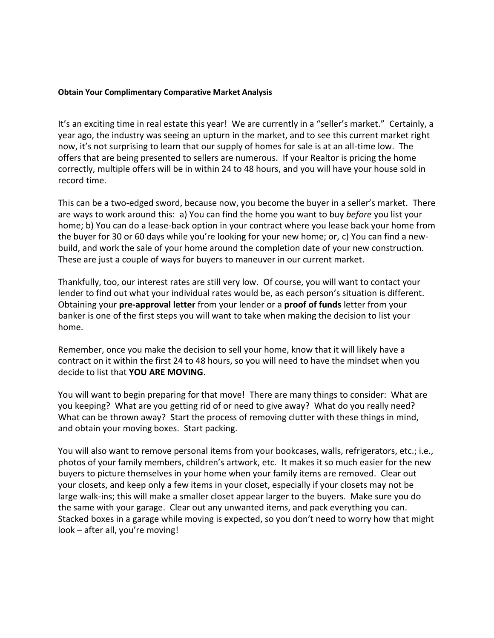## **Obtain Your Complimentary Comparative Market Analysis**

It's an exciting time in real estate this year! We are currently in a "seller's market." Certainly, a year ago, the industry was seeing an upturn in the market, and to see this current market right now, it's not surprising to learn that our supply of homes for sale is at an all-time low. The offers that are being presented to sellers are numerous. If your Realtor is pricing the home correctly, multiple offers will be in within 24 to 48 hours, and you will have your house sold in record time.

This can be a two-edged sword, because now, you become the buyer in a seller's market. There are ways to work around this: a) You can find the home you want to buy *before* you list your home; b) You can do a lease-back option in your contract where you lease back your home from the buyer for 30 or 60 days while you're looking for your new home; or, c) You can find a newbuild, and work the sale of your home around the completion date of your new construction. These are just a couple of ways for buyers to maneuver in our current market.

Thankfully, too, our interest rates are still very low. Of course, you will want to contact your lender to find out what your individual rates would be, as each person's situation is different. Obtaining your **pre-approval letter** from your lender or a **proof of funds** letter from your banker is one of the first steps you will want to take when making the decision to list your home.

Remember, once you make the decision to sell your home, know that it will likely have a contract on it within the first 24 to 48 hours, so you will need to have the mindset when you decide to list that **YOU ARE MOVING**.

You will want to begin preparing for that move! There are many things to consider: What are you keeping? What are you getting rid of or need to give away? What do you really need? What can be thrown away? Start the process of removing clutter with these things in mind, and obtain your moving boxes. Start packing.

You will also want to remove personal items from your bookcases, walls, refrigerators, etc.; i.e., photos of your family members, children's artwork, etc. It makes it so much easier for the new buyers to picture themselves in your home when your family items are removed. Clear out your closets, and keep only a few items in your closet, especially if your closets may not be large walk-ins; this will make a smaller closet appear larger to the buyers. Make sure you do the same with your garage. Clear out any unwanted items, and pack everything you can. Stacked boxes in a garage while moving is expected, so you don't need to worry how that might look – after all, you're moving!